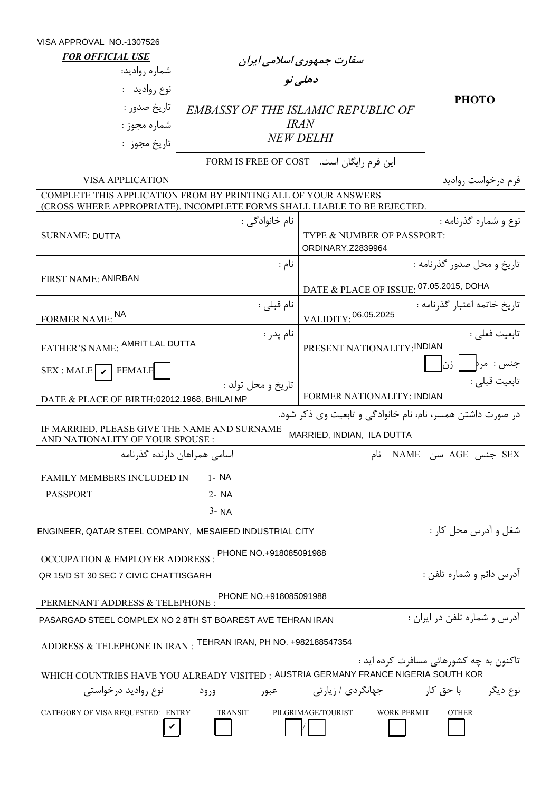VISA APPROVAL NO.-1307526

| <b>FOR OFFICIAL USE</b>                                                                                                                    | سفارت جمهوری اسلامی ایران                 |                                                     |                          |  |  |  |
|--------------------------------------------------------------------------------------------------------------------------------------------|-------------------------------------------|-----------------------------------------------------|--------------------------|--|--|--|
| شماره رواديد:                                                                                                                              | دهلے نو                                   |                                                     |                          |  |  |  |
| نوع رواديد :                                                                                                                               |                                           |                                                     | <b>PHOTO</b>             |  |  |  |
| تاريخ صدور :                                                                                                                               | <b>EMBASSY OF THE ISLAMIC REPUBLIC OF</b> |                                                     |                          |  |  |  |
| شماره مجوز :                                                                                                                               |                                           | <i>IRAN</i>                                         |                          |  |  |  |
| تاريخ مجوز :                                                                                                                               |                                           | <b>NEW DELHI</b>                                    |                          |  |  |  |
|                                                                                                                                            |                                           | این فرم رایگان است.     FORM IS FREE OF COST        |                          |  |  |  |
| <b>VISA APPLICATION</b>                                                                                                                    |                                           |                                                     | فرم درخواست روادید       |  |  |  |
| COMPLETE THIS APPLICATION FROM BY PRINTING ALL OF YOUR ANSWERS<br>(CROSS WHERE APPROPRIATE). INCOMPLETE FORMS SHALL LIABLE TO BE REJECTED. |                                           |                                                     |                          |  |  |  |
|                                                                                                                                            | نام خانوادگے :                            |                                                     | نوع و شماره گذرنامه :    |  |  |  |
| <b>SURNAME: DUTTA</b>                                                                                                                      |                                           | TYPE & NUMBER OF PASSPORT:<br>ORDINARY, Z2839964    |                          |  |  |  |
|                                                                                                                                            | نام :                                     | تاريخ و محل صدور گذرنامه :                          |                          |  |  |  |
| <b>FIRST NAME: ANIRBAN</b>                                                                                                                 |                                           | DATE & PLACE OF ISSUE: 07.05.2015, DOHA             |                          |  |  |  |
| نام قبلی :<br>FORMER NAME: NA                                                                                                              |                                           | تاريخ خاتمه اعتبار گذرنامه:<br>VALIDITY: 06.05.2025 |                          |  |  |  |
| نام يدر :                                                                                                                                  |                                           | تابعيت فعلى :                                       |                          |  |  |  |
| FATHER'S NAME: AMRIT LAL DUTTA                                                                                                             |                                           | PRESENT NATIONALITY: INDIAN                         |                          |  |  |  |
| $SEX$ : MALE $\triangledown$ FEMALE                                                                                                        |                                           |                                                     | جنس : مرہ<br>ا زن        |  |  |  |
|                                                                                                                                            | تاريخ و محل تولد :                        | تابعيت قبلي :<br>FORMER NATIONALITY: INDIAN         |                          |  |  |  |
| DATE & PLACE OF BIRTH: 02012.1968, BHILAI MP<br>در صورت داشتن همسر، نام، نام خانوادگی و تابعیت وی ذکر شود.                                 |                                           |                                                     |                          |  |  |  |
| IF MARRIED, PLEASE GIVE THE NAME AND SURNAME<br>MARRIED, INDIAN, ILA DUTTA<br>AND NATIONALITY OF YOUR SPOUSE :                             |                                           |                                                     |                          |  |  |  |
|                                                                                                                                            | اسامی همراهان دارنده گذرنامه              | نام                                                 | SEX جنس AGE سن NAME      |  |  |  |
| FAMILY MEMBERS INCLUDED IN                                                                                                                 | $1 - NA$                                  |                                                     |                          |  |  |  |
| <b>PASSPORT</b>                                                                                                                            | $2 - NA$                                  |                                                     |                          |  |  |  |
| $3 - NA$                                                                                                                                   |                                           |                                                     |                          |  |  |  |
| ENGINEER, QATAR STEEL COMPANY, MESAIEED INDUSTRIAL CITY                                                                                    |                                           |                                                     | شغل و ادرس محل کار :     |  |  |  |
| OCCUPATION & EMPLOYER ADDRESS : PHONE NO.+918085091988                                                                                     |                                           |                                                     |                          |  |  |  |
| QR 15/D ST 30 SEC 7 CIVIC CHATTISGARH                                                                                                      |                                           |                                                     | ادرس دائم و شماره تلفن : |  |  |  |
|                                                                                                                                            |                                           |                                                     |                          |  |  |  |
| PHONE NO.+918085091988<br>PERMENANT ADDRESS & TELEPHONE :                                                                                  |                                           |                                                     |                          |  |  |  |
| آدرس و شماره تلفن در ایران :<br>PASARGAD STEEL COMPLEX NO 2 8TH ST BOAREST AVE TEHRAN IRAN                                                 |                                           |                                                     |                          |  |  |  |
| ADDRESS & TELEPHONE IN IRAN: TEHRAN IRAN, PH NO. +982188547354                                                                             |                                           |                                                     |                          |  |  |  |
| تاکنون به چه کشورهائی مسافرت کرده اید :<br>WHICH COUNTRIES HAVE YOU ALREADY VISITED : AUSTRIA GERMANY FRANCE NIGERIA SOUTH KOR             |                                           |                                                     |                          |  |  |  |
| جهانگردی / زیار تی<br>با حق کار<br>نوع روادید درخواستی<br>نوع ديگر<br>عبور<br>ورود                                                         |                                           |                                                     |                          |  |  |  |
| CATEGORY OF VISA REQUESTED: ENTRY<br><b>TRANSIT</b><br>PILGRIMAGE/TOURIST<br><b>WORK PERMIT</b><br><b>OTHER</b>                            |                                           |                                                     |                          |  |  |  |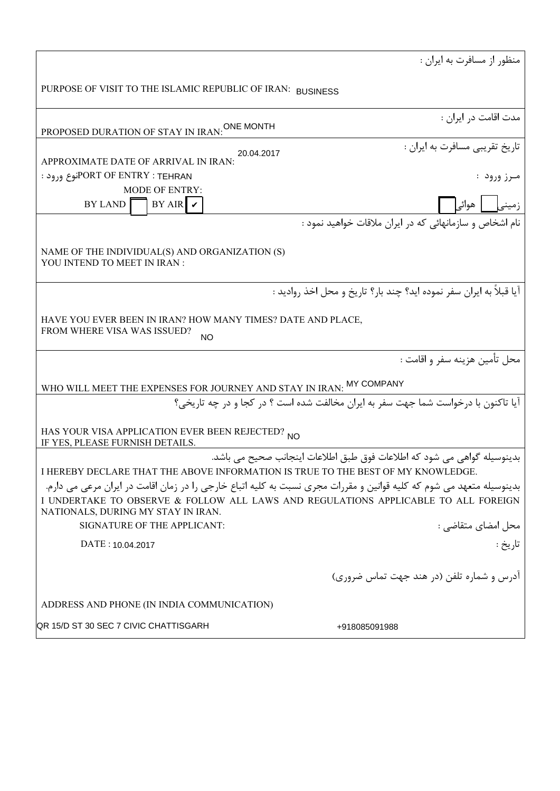|                                                                                                                                                                                                                                                  | منظور از مسافرت به ایران :                                                         |  |  |  |
|--------------------------------------------------------------------------------------------------------------------------------------------------------------------------------------------------------------------------------------------------|------------------------------------------------------------------------------------|--|--|--|
| PURPOSE OF VISIT TO THE ISLAMIC REPUBLIC OF IRAN: BUSINESS                                                                                                                                                                                       |                                                                                    |  |  |  |
| PROPOSED DURATION OF STAY IN IRAN: ONE MONTH                                                                                                                                                                                                     | مدت اقامت در ایران :                                                               |  |  |  |
| 20.04.2017                                                                                                                                                                                                                                       | تاريخ تقريبي مسافرت به ايران :                                                     |  |  |  |
| APPROXIMATE DATE OF ARRIVAL IN IRAN:                                                                                                                                                                                                             |                                                                                    |  |  |  |
| PORT OF ENTRY : TEHRAN: توع ورود                                                                                                                                                                                                                 | مـرز ورود :                                                                        |  |  |  |
| <b>MODE OF ENTRY:</b>                                                                                                                                                                                                                            |                                                                                    |  |  |  |
| $BY AIR$ $\triangleright$<br>BY LAND                                                                                                                                                                                                             | زمینی   هوائی                                                                      |  |  |  |
|                                                                                                                                                                                                                                                  | نام اشخاص و سازمانهائی که در ایران ملاقات خواهید نمود :                            |  |  |  |
| NAME OF THE INDIVIDUAL(S) AND ORGANIZATION (S)<br>YOU INTEND TO MEET IN IRAN :                                                                                                                                                                   |                                                                                    |  |  |  |
|                                                                                                                                                                                                                                                  | آيا قبلاً به ايران سفر نموده ايد؟ چند بار؟ تاريخ و محل اخذ رواديد :                |  |  |  |
| HAVE YOU EVER BEEN IN IRAN? HOW MANY TIMES? DATE AND PLACE,<br>FROM WHERE VISA WAS ISSUED?<br>NΟ                                                                                                                                                 |                                                                                    |  |  |  |
|                                                                                                                                                                                                                                                  | محل تأمين هزينه سفر و اقامت :                                                      |  |  |  |
| WHO WILL MEET THE EXPENSES FOR JOURNEY AND STAY IN IRAN: MY COMPANY                                                                                                                                                                              |                                                                                    |  |  |  |
|                                                                                                                                                                                                                                                  | آيا تاكنون با درخواست شما جهت سفر به ايران مخالفت شده است ؟ در كجا و در چه تاريخي؟ |  |  |  |
| HAS YOUR VISA APPLICATION EVER BEEN REJECTED? NO<br>IF YES, PLEASE FURNISH DETAILS.                                                                                                                                                              |                                                                                    |  |  |  |
|                                                                                                                                                                                                                                                  | بدینوسیله گواهی می شود که اطلاعات فوق طبق اطلاعات اینجانب صحیح می باشد.            |  |  |  |
| I HEREBY DECLARE THAT THE ABOVE INFORMATION IS TRUE TO THE BEST OF MY KNOWLEDGE.                                                                                                                                                                 |                                                                                    |  |  |  |
| بدینوسیله متعهد می شوم که کلیه قوانین و مقررات مجری نسبت به کلیه اتباع خارجی را در زمان اقامت در ایران مرعی می دارم.<br>I UNDERTAKE TO OBSERVE & FOLLOW ALL LAWS AND REGULATIONS APPLICABLE TO ALL FOREIGN<br>NATIONALS, DURING MY STAY IN IRAN. |                                                                                    |  |  |  |
| SIGNATURE OF THE APPLICANT:                                                                                                                                                                                                                      | محل امضای متقاضی :<br>.                                                            |  |  |  |
| DATE: 10.04.2017                                                                                                                                                                                                                                 | تاريخ :                                                                            |  |  |  |
|                                                                                                                                                                                                                                                  | آدرس و شماره تلفن (در هند جهت تماس ضروری)                                          |  |  |  |
| ADDRESS AND PHONE (IN INDIA COMMUNICATION)                                                                                                                                                                                                       |                                                                                    |  |  |  |
| QR 15/D ST 30 SEC 7 CIVIC CHATTISGARH                                                                                                                                                                                                            | +918085091988                                                                      |  |  |  |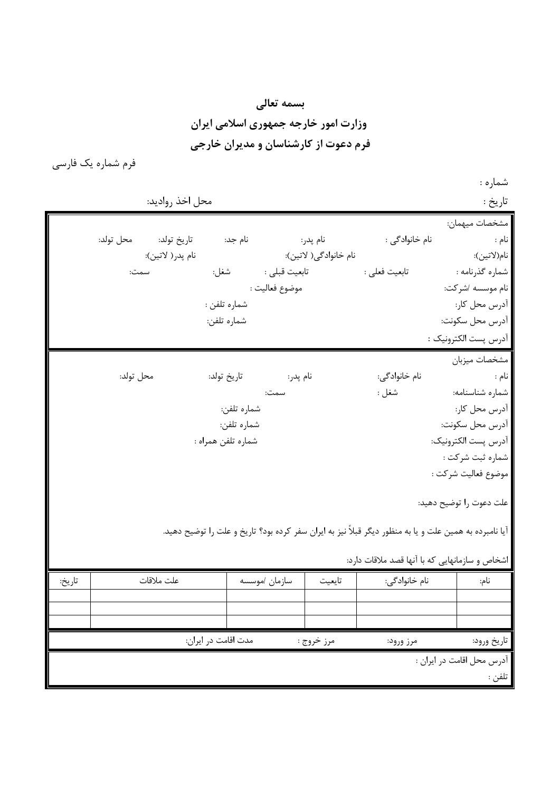**بسمه تعالی وزارت امور خارجه جمهوری اسلامی ایران فرم دعوت از کارشناسان و مدیران خارجی**

فرم شماره یک فارسی

شماره :

|        | محل اخذ رواديد:       |                     |                           |                       |                                                                                                        | تاريخ :                   |
|--------|-----------------------|---------------------|---------------------------|-----------------------|--------------------------------------------------------------------------------------------------------|---------------------------|
|        |                       |                     |                           |                       |                                                                                                        | مشخصات ميهمان:            |
|        | تاريخ تولد: محل تولد: |                     |                           |                       | نام خانوادگی :                                                                                         | نام :                     |
|        | نام پدر( لاتين):      |                     |                           | نام خانوادگی( لاتين): |                                                                                                        | نام(لاتين):               |
|        | سمت:                  | شغل:                | تابعيت قبل <sub>ي</sub> : |                       | تابعيت فعلى :                                                                                          | شماره گذرنامه :           |
|        |                       |                     | موضوع فعاليت :            |                       |                                                                                                        | نام موسسه /شركت:          |
|        |                       | شماره تلفن :        |                           |                       |                                                                                                        | آدرس محل کار:             |
|        |                       | شماره تلفن:         |                           |                       |                                                                                                        | آدرس محل سكونت:           |
|        |                       |                     |                           |                       |                                                                                                        | آدرس پست الكترونيک :      |
|        |                       |                     |                           |                       |                                                                                                        | مشخصات ميزبان             |
|        | محل تولد:             | تاريخ تولد:         | نام پدر:                  |                       | نام خانوادگی:                                                                                          | نام :                     |
|        |                       |                     | سمت:                      |                       | شغل :                                                                                                  | شماره شناسنامه:           |
|        |                       | شماره تلفن:         |                           |                       |                                                                                                        | آدرس محل کار:             |
|        |                       | شماره تلفن:         |                           |                       |                                                                                                        | آدرس محل سكونت:           |
|        |                       | شماره تلفن همراه :  |                           |                       |                                                                                                        | آدرس پست الكترونيك:       |
|        |                       |                     |                           |                       |                                                                                                        | شماره ثبت شركت :          |
|        |                       |                     |                           |                       |                                                                                                        | موضوع فعاليت شركت :       |
|        |                       |                     |                           |                       |                                                                                                        | علت دعوت را توضيح دهيد:   |
|        |                       |                     |                           |                       | آیا نامبرده به همین علت و یا به منظور دیگر قبلاً نیز به ایران سفر کرده بود؟ تاریخ و علت را توضیح دهید. |                           |
|        |                       |                     |                           |                       | اشخاص و سازمانهایی که با آنها قصد ملاقات دارد:                                                         |                           |
| تاريخ: | علت ملاقات            |                     | سازمان /موسسه             | تايعيت                | نام خانوادگی:                                                                                          | نام:                      |
|        |                       |                     |                           |                       |                                                                                                        |                           |
|        |                       |                     |                           |                       |                                                                                                        |                           |
|        |                       | مدت اقامت در ایران: |                           | مرز خروج :            | مرز ورود:                                                                                              | تاريخ ورود:               |
|        |                       |                     |                           |                       |                                                                                                        |                           |
|        |                       |                     |                           |                       |                                                                                                        | آدرس محل اقامت در ايران : |
|        |                       |                     |                           |                       |                                                                                                        | تلفن :                    |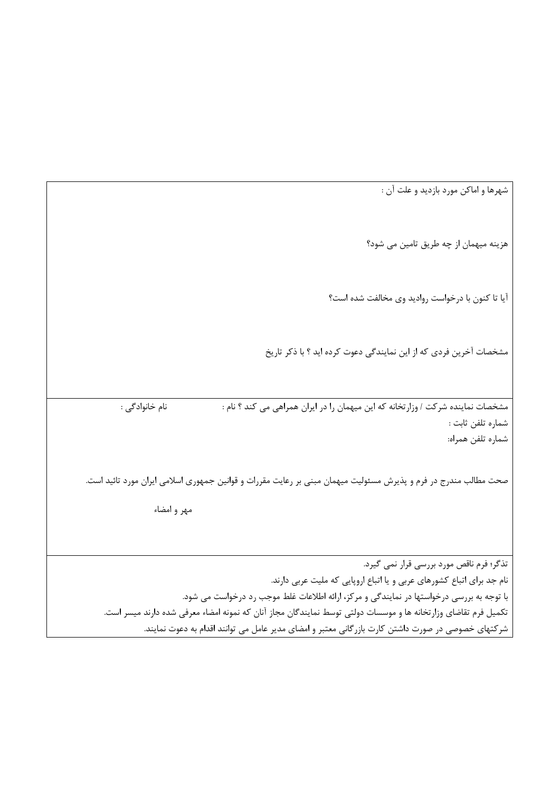شهرها و اماکن مورد بازدید و علت آن : هزینه میهمان از چه طریق تامین می شود؟ آیا تا کنون با درخواست روادید وی مخالفت شده است؟ مشخصات آخرین فردی که از این نمایندگی دعوت کرده اید ؟ با ذکر تاریخ مشخصات نماینده شرکت / وزارتخانه که این میهمان را در ایران همراهی می کند ؟ نام : نام خانوادگی : شماره تلفن ثابت : شماره تلفن همراه: صحت مطالب مندرج در فرم و پذیرش مسئولیت میهمان مبنی بر رعایت مقررات و قوانین جمهوری اسلامی ایران مورد تائید است. مهر و امضاء تذگر؛ فرم ناقص مورد بررسی قرار نمی گیرد. نام جد برای اتباع کشورهای عربی و یا اتباع اروپایی که ملیت عربی دارند. با توجه به بررسی درخواستها در نمایندگی و مرکز، ارائه اطلاعات غلط موجب رد درخواست می شود. تکمیل فرم تقاضای وزارتخانه ها و موسسات دولتی توسط نمایندگان مجاز آنان که نمونه امضاء معرفی شده دارند میسر است. شرکتهای خصوصی در صورت داشتن کارت بازرگانی معتبر و امضای مدیر عامل می توانند اقدام به دعوت نمایند.